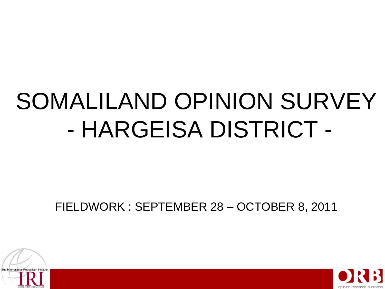# SOMALILAND OPINION SURVEY - HARGEISA DISTRICT -

FIELDWORK : SEPTEMBER 28 – OCTOBER 8, 2011



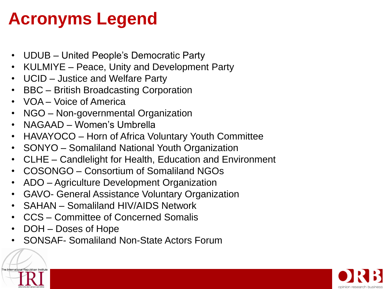# **Acronyms Legend**

- UDUB United People's Democratic Party
- KULMIYE Peace, Unity and Development Party
- UCID Justice and Welfare Party
- BBC British Broadcasting Corporation
- VOA Voice of America
- NGO Non-governmental Organization
- NAGAAD Women's Umbrella
- HAVAYOCO Horn of Africa Voluntary Youth Committee
- SONYO Somaliland National Youth Organization
- CLHE Candlelight for Health, Education and Environment
- COSONGO Consortium of Somaliland NGOs
- ADO Agriculture Development Organization
- GAVO- General Assistance Voluntary Organization
- SAHAN Somaliland HIV/AIDS Network
- CCS Committee of Concerned Somalis
- DOH Doses of Hope
- SONSAF- Somaliland Non-State Actors Forum

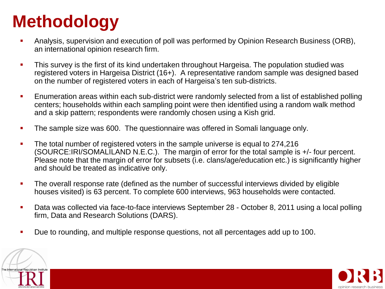# **Methodology**

- Analysis, supervision and execution of poll was performed by Opinion Research Business (ORB), an international opinion research firm.
- **This survey is the first of its kind undertaken throughout Hargeisa. The population studied was** registered voters in Hargeisa District (16+). A representative random sample was designed based on the number of registered voters in each of Hargeisa's ten sub-districts.
- **Enumeration areas within each sub-district were randomly selected from a list of established polling** centers; households within each sampling point were then identified using a random walk method and a skip pattern; respondents were randomly chosen using a Kish grid.
- The sample size was 600. The questionnaire was offered in Somali language only.
- The total number of registered voters in the sample universe is equal to 274,216 (SOURCE:IRI/SOMALILAND N.E.C.). The margin of error for the total sample is +/- four percent. Please note that the margin of error for subsets (i.e. clans/age/education etc.) is significantly higher and should be treated as indicative only.
- The overall response rate (defined as the number of successful interviews divided by eligible houses visited) is 63 percent. To complete 600 interviews, 963 households were contacted.
- **Data was collected via face-to-face interviews September 28 October 8, 2011 using a local polling** firm, Data and Research Solutions (DARS).
- Due to rounding, and multiple response questions, not all percentages add up to 100.



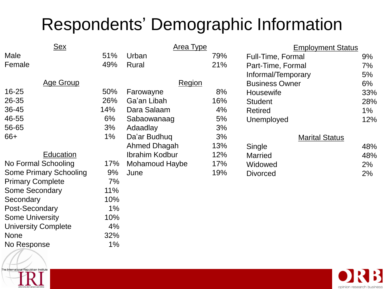# Respondents' Demographic Information

| <b>Sex</b>                    |     | Area Type             |     | <b>Employment Status</b> |       |
|-------------------------------|-----|-----------------------|-----|--------------------------|-------|
| Male                          | 51% | Urban                 | 79% | Full-Time, Formal        | 9%    |
| Female                        | 49% | Rural                 | 21% | Part-Time, Formal        | 7%    |
|                               |     |                       |     | Informal/Temporary       | 5%    |
| <b>Age Group</b>              |     | <b>Region</b>         |     | <b>Business Owner</b>    | 6%    |
| $16 - 25$                     | 50% | Farowayne             | 8%  | <b>Housewife</b>         | 33%   |
| 26-35                         | 26% | Ga'an Libah           | 16% | <b>Student</b>           | 28%   |
| 36-45                         | 14% | Dara Salaam           | 4%  | <b>Retired</b>           | $1\%$ |
| 46-55                         | 6%  | Sabaowanaag           | 5%  | Unemployed               | 12%   |
| 56-65                         | 3%  | Adaadlay              | 3%  |                          |       |
| $66+$                         | 1%  | Da'ar Budhuq          | 3%  | <b>Marital Status</b>    |       |
|                               |     | Ahmed Dhagah          | 13% | Single                   | 48%   |
| <b>Education</b>              |     | <b>Ibrahim Kodbur</b> | 12% | <b>Married</b>           | 48%   |
| No Formal Schooling           | 17% | Mohamoud Haybe        | 17% | Widowed                  | 2%    |
| <b>Some Primary Schooling</b> | 9%  | June                  | 19% | <b>Divorced</b>          | 2%    |
| <b>Primary Complete</b>       | 7%  |                       |     |                          |       |
| <b>Some Secondary</b>         | 11% |                       |     |                          |       |
| Secondary                     | 10% |                       |     |                          |       |
| Post-Secondary                | 1%  |                       |     |                          |       |
| <b>Some University</b>        | 10% |                       |     |                          |       |
| <b>University Complete</b>    | 4%  |                       |     |                          |       |
| <b>None</b>                   | 32% |                       |     |                          |       |
| No Response                   | 1%  |                       |     |                          |       |

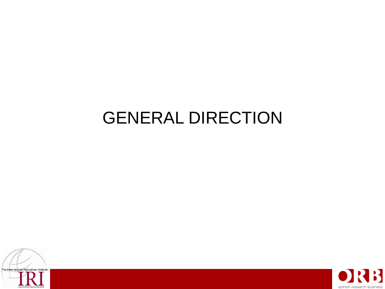## GENERAL DIRECTION



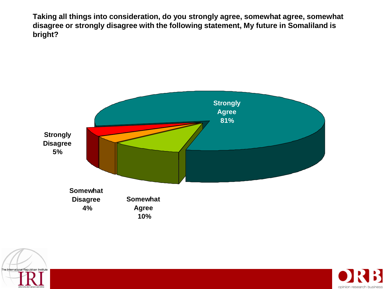**Taking all things into consideration, do you strongly agree, somewhat agree, somewhat disagree or strongly disagree with the following statement, My future in Somaliland is bright?** 





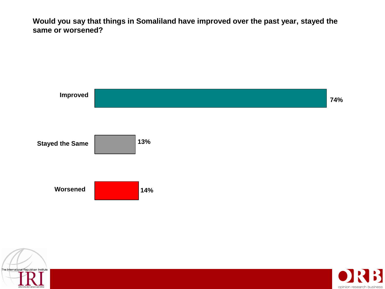**Would you say that things in Somaliland have improved over the past year, stayed the same or worsened?** 





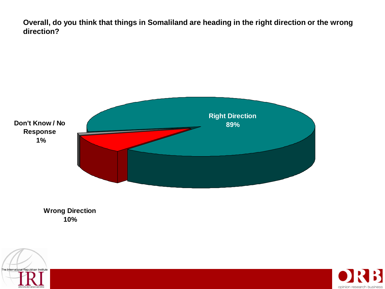**Overall, do you think that things in Somaliland are heading in the right direction or the wrong direction?** 



**Wrong Direction 10%**



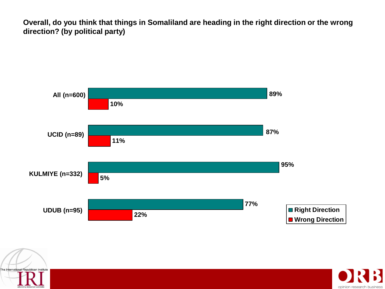**Overall, do you think that things in Somaliland are heading in the right direction or the wrong direction? (by political party)**





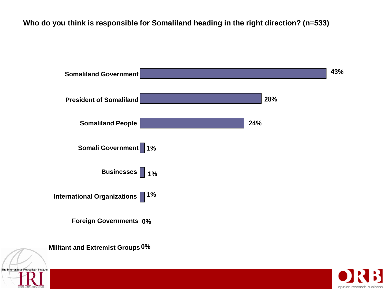**Who do you think is responsible for Somaliland heading in the right direction? (n=533)**



opinion resea

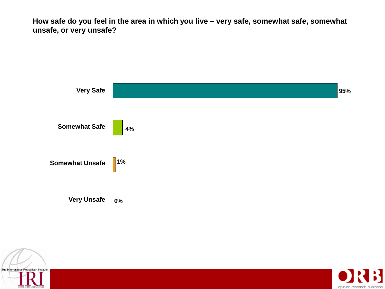**How safe do you feel in the area in which you live – very safe, somewhat safe, somewhat unsafe, or very unsafe?** 





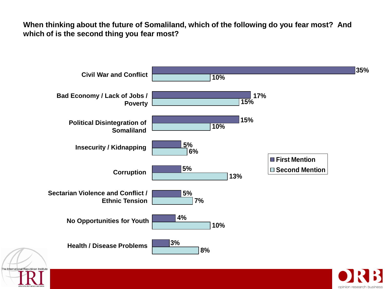**When thinking about the future of Somaliland, which of the following do you fear most? And which of is the second thing you fear most?** 



opinion res

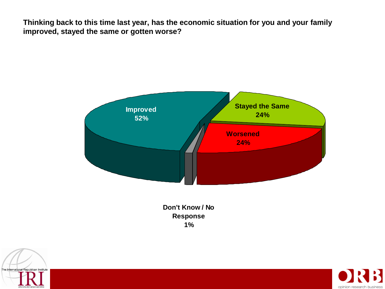**Thinking back to this time last year, has the economic situation for you and your family improved, stayed the same or gotten worse?** 



**Don't Know / No Response 1%**



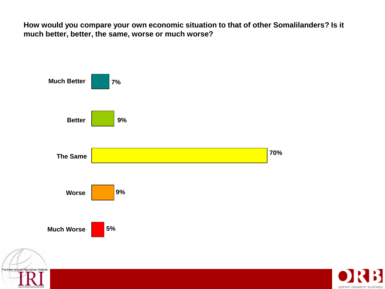**How would you compare your own economic situation to that of other Somalilanders? Is it much better, better, the same, worse or much worse?** 



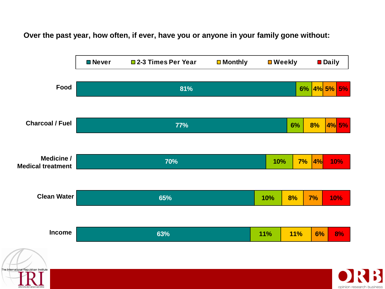**Over the past year, how often, if ever, have you or anyone in your family gone without:**

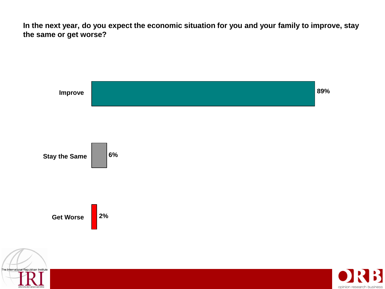**In the next year, do you expect the economic situation for you and your family to improve, stay the same or get worse?** 

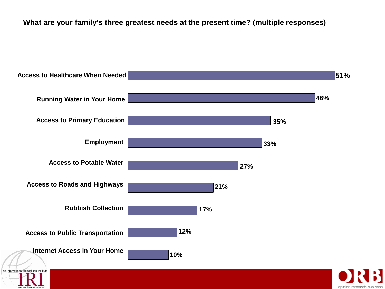#### **What are your family's three greatest needs at the present time? (multiple responses)**

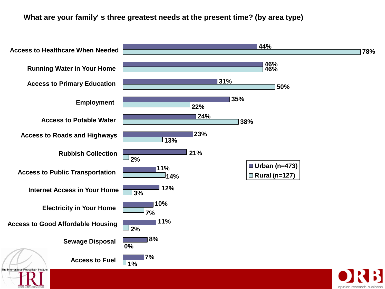**What are your family' s three greatest needs at the present time? (by area type)**

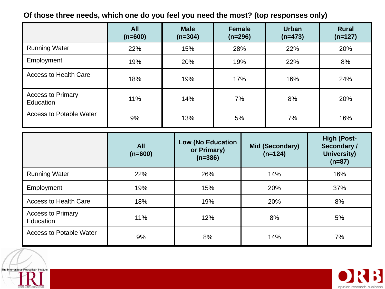### **Of those three needs, which one do you feel you need the most? (top responses only)**

|                                       | <b>All</b><br>$(n=600)$ | <b>Male</b><br>$(n=304)$ | Female<br>$(n=296)$ | <b>Urban</b><br>$(n=473)$ | <b>Rural</b><br>$(n=127)$ |
|---------------------------------------|-------------------------|--------------------------|---------------------|---------------------------|---------------------------|
| <b>Running Water</b>                  | 22%                     | 15%                      | 28%                 | 22%                       | 20%                       |
| Employment                            | 19%                     | 20%                      | 19%                 | 22%                       | 8%                        |
| <b>Access to Health Care</b>          | 18%                     | 19%                      | 17%                 | 16%                       | 24%                       |
| <b>Access to Primary</b><br>Education | 11%                     | 14%                      | 7%                  | 8%                        | 20%                       |
| <b>Access to Potable Water</b>        | 9%                      | 13%                      | 5%                  | 7%                        | 16%                       |

|                                       | <b>All</b><br>$(n=600)$ | <b>Low (No Education</b><br>or Primary)<br>$(n=386)$ | <b>Mid (Secondary)</b><br>$(n=124)$ | <b>High (Post-</b><br>Secondary /<br><b>University)</b><br>$(n=87)$ |
|---------------------------------------|-------------------------|------------------------------------------------------|-------------------------------------|---------------------------------------------------------------------|
| <b>Running Water</b>                  | 22%                     | 26%                                                  | 14%                                 | 16%                                                                 |
| Employment                            | 19%                     | 15%                                                  | 20%                                 | 37%                                                                 |
| <b>Access to Health Care</b>          | 18%                     | 19%                                                  | 20%                                 | 8%                                                                  |
| <b>Access to Primary</b><br>Education | 11%                     | 12%                                                  | 8%                                  | 5%                                                                  |
| <b>Access to Potable Water</b>        | 9%                      | 8%                                                   | 14%                                 | 7%                                                                  |



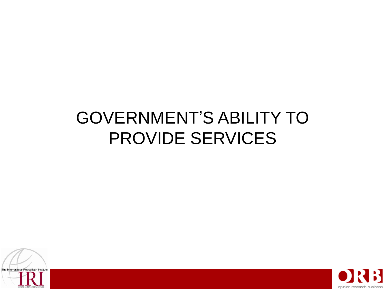# PROVIDE SERVICES GOVERNMENT'S ABILITY TO



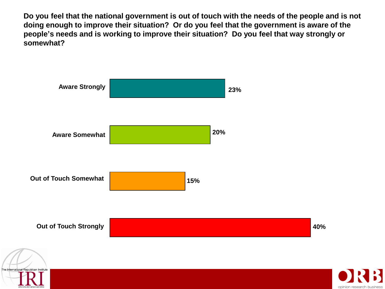**Do you feel that the national government is out of touch with the needs of the people and is not doing enough to improve their situation? Or do you feel that the government is aware of the people's needs and is working to improve their situation? Do you feel that way strongly or somewhat?**



opinion res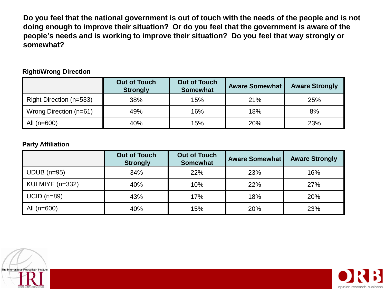**Do you feel that the national government is out of touch with the needs of the people and is not doing enough to improve their situation? Or do you feel that the government is aware of the people's needs and is working to improve their situation? Do you feel that way strongly or somewhat?**

#### **Right/Wrong Direction**

|                         | <b>Out of Touch</b><br><b>Strongly</b> | <b>Out of Touch</b><br><b>Somewhat</b> | <b>Aware Somewhat</b> | <b>Aware Strongly</b> |
|-------------------------|----------------------------------------|----------------------------------------|-----------------------|-----------------------|
| Right Direction (n=533) | 38%                                    | 15%                                    | 21%                   | 25%                   |
| Wrong Direction (n=61)  | 49%                                    | 16%                                    | 18%                   | 8%                    |
| All $(n=600)$           | 40%                                    | 15%                                    | 20%                   | 23%                   |

#### **Party Affiliation**

| <b>Party Affiliation</b> |                                        |                                        |                       |                       |  |  |  |
|--------------------------|----------------------------------------|----------------------------------------|-----------------------|-----------------------|--|--|--|
|                          | <b>Out of Touch</b><br><b>Strongly</b> | <b>Out of Touch</b><br><b>Somewhat</b> | <b>Aware Somewhat</b> | <b>Aware Strongly</b> |  |  |  |
| $UDUB$ (n=95)            | 34%                                    | 22%                                    | 23%                   | 16%                   |  |  |  |
| KULMIYE (n=332)          | 40%                                    | 10%                                    | 22%                   | 27%                   |  |  |  |
| $UCID$ (n=89)            | 43%                                    | 17%                                    | 18%                   | 20%                   |  |  |  |
| All $(n=600)$            | 40%                                    | 15%                                    | 20%                   | 23%                   |  |  |  |



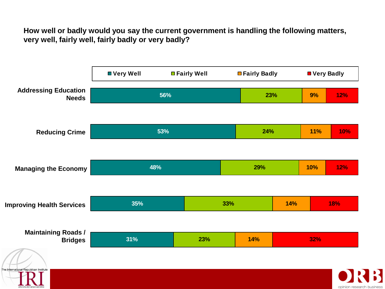**How well or badly would you say the current government is handling the following matters, very well, fairly well, fairly badly or very badly?** 

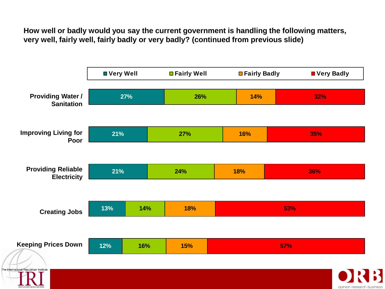**How well or badly would you say the current government is handling the following matters, very well, fairly well, fairly badly or very badly? (continued from previous slide)**

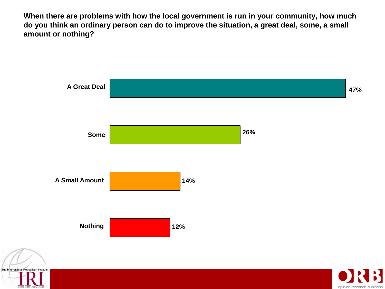**When there are problems with how the local government is run in your community, how much do you think an ordinary person can do to improve the situation, a great deal, some, a small amount or nothing?**



opinion rese

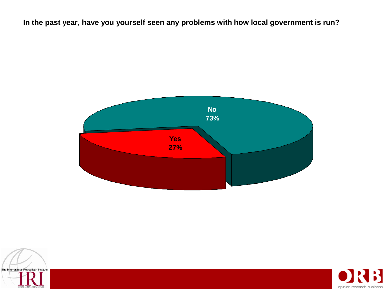**In the past year, have you yourself seen any problems with how local government is run?**





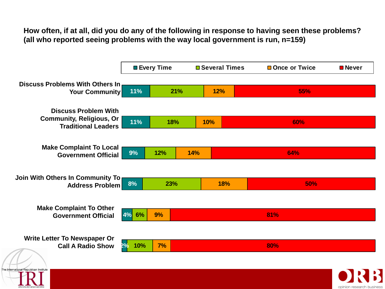**How often, if at all, did you do any of the following in response to having seen these problems? (all who reported seeing problems with the way local government is run, n=159)**

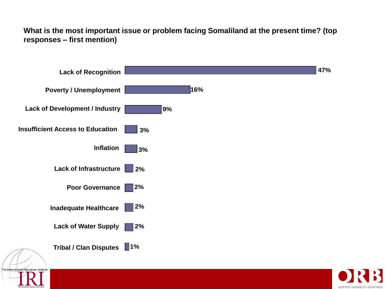**What is the most important issue or problem facing Somaliland at the present time? (top responses – first mention)**



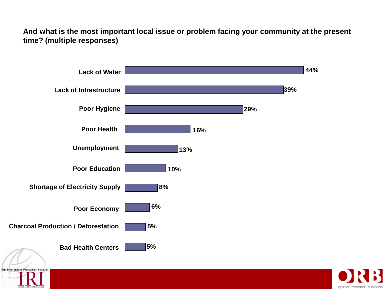**And what is the most important local issue or problem facing your community at the present time? (multiple responses)**



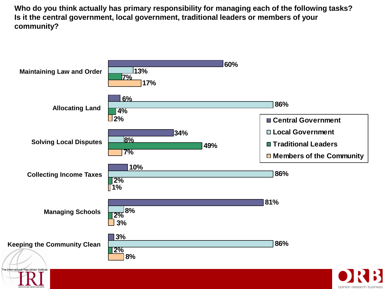**Who do you think actually has primary responsibility for managing each of the following tasks? Is it the central government, local government, traditional leaders or members of your community?**

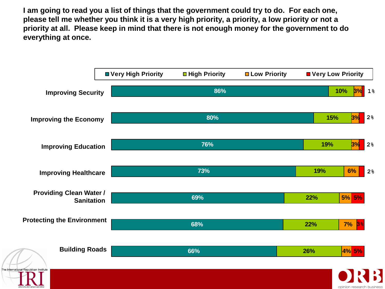**I am going to read you a list of things that the government could try to do. For each one, please tell me whether you think it is a very high priority, a priority, a low priority or not a priority at all. Please keep in mind that there is not enough money for the government to do everything at once.** 

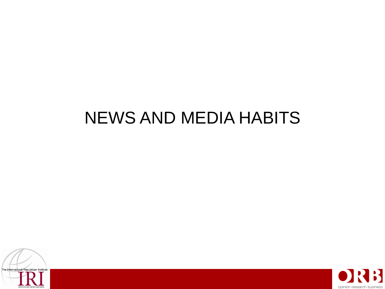# NEWS AND MEDIA HABITS



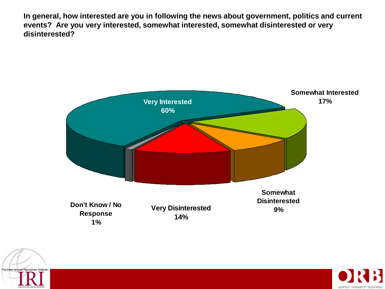**In general, how interested are you in following the news about government, politics and current events? Are you very interested, somewhat interested, somewhat disinterested or very disinterested?**





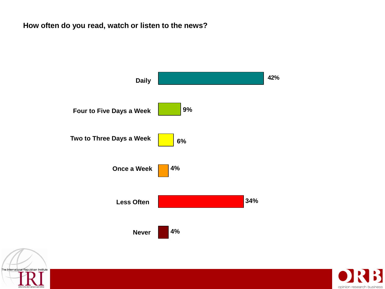### **How often do you read, watch or listen to the news?**





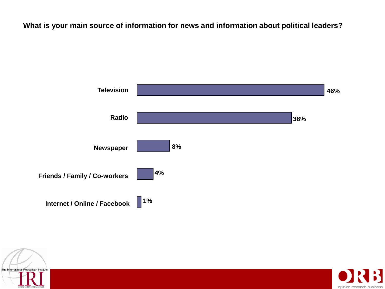**What is your main source of information for news and information about political leaders?**





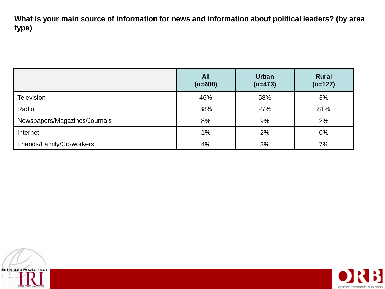**What is your main source of information for news and information about political leaders? (by area type)**

|                               | <b>All</b><br>$(n=600)$ | <b>Urban</b><br>$(n=473)$ | <b>Rural</b><br>$(n=127)$ |
|-------------------------------|-------------------------|---------------------------|---------------------------|
| <b>Television</b>             | 46%                     | 58%                       | 3%                        |
| Radio                         | 38%                     | 27%                       | 81%                       |
| Newspapers/Magazines/Journals | 8%                      | 9%                        | 2%                        |
| Internet                      | 1%                      | 2%                        | 0%                        |
| Friends/Family/Co-workers     | 4%                      | 3%                        | 7%                        |



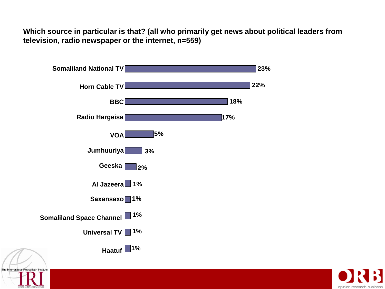**Which source in particular is that? (all who primarily get news about political leaders from television, radio newspaper or the internet, n=559)**



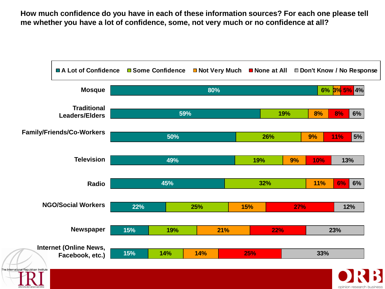**How much confidence do you have in each of these information sources? For each one please tell me whether you have a lot of confidence, some, not very much or no confidence at all?** 

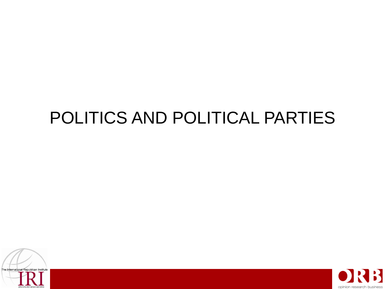# POLITICS AND POLITICAL PARTIES



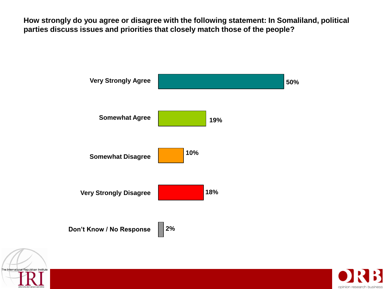**How strongly do you agree or disagree with the following statement: In Somaliland, political parties discuss issues and priorities that closely match those of the people?**





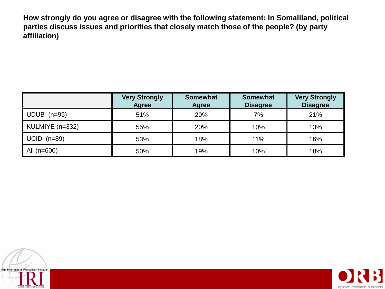**How strongly do you agree or disagree with the following statement: In Somaliland, political parties discuss issues and priorities that closely match those of the people? (by party affiliation)**

|                 | <b>Very Strongly</b><br><b>Agree</b> | <b>Somewhat</b><br>Agree | <b>Somewhat</b><br><b>Disagree</b> | <b>Very Strongly</b><br><b>Disagree</b> |
|-----------------|--------------------------------------|--------------------------|------------------------------------|-----------------------------------------|
| $UDUB$ (n=95)   | 51%                                  | 20%                      | 7%                                 | 21%                                     |
| KULMIYE (n=332) | 55%                                  | 20%                      | 10%                                | 13%                                     |
| $UCID$ (n=89)   | 53%                                  | 18%                      | 11%                                | 16%                                     |
| All $(n=600)$   | 50%                                  | 19%                      | 10%                                | 18%                                     |



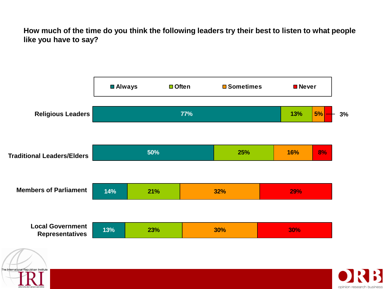**How much of the time do you think the following leaders try their best to listen to what people like you have to say?**



The International Republican Institute

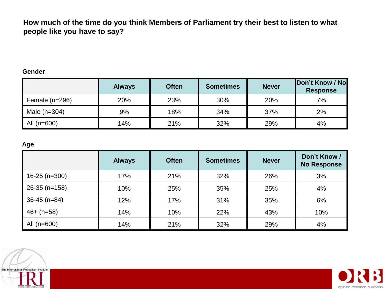**How much of the time do you think Members of Parliament try their best to listen to what people like you have to say?** 

#### **Gender**

|                  | <b>Always</b> | <b>Often</b> | <b>Sometimes</b> | <b>Never</b> | Don't Know / No<br><b>Response</b> |
|------------------|---------------|--------------|------------------|--------------|------------------------------------|
| Female $(n=296)$ | 20%           | 23%          | 30%              | 20%          | 7%                                 |
| Male $(n=304)$   | 9%            | 18%          | 34%              | 37%          | 2%                                 |
| All $(n=600)$    | 14%           | 21%          | 32%              | 29%          | 4%                                 |

#### **Age**

| Age             |               |              |                  |              |                                    |
|-----------------|---------------|--------------|------------------|--------------|------------------------------------|
|                 | <b>Always</b> | <b>Often</b> | <b>Sometimes</b> | <b>Never</b> | Don't Know /<br><b>No Response</b> |
| $16-25$ (n=300) | 17%           | 21%          | 32%              | 26%          | 3%                                 |
| $26-35$ (n=158) | 10%           | 25%          | 35%              | 25%          | 4%                                 |
| $36-45$ (n=84)  | 12%           | 17%          | 31%              | 35%          | 6%                                 |
| $46+ (n=58)$    | 14%           | 10%          | 22%              | 43%          | 10%                                |
| All $(n=600)$   | 14%           | 21%          | 32%              | 29%          | 4%                                 |



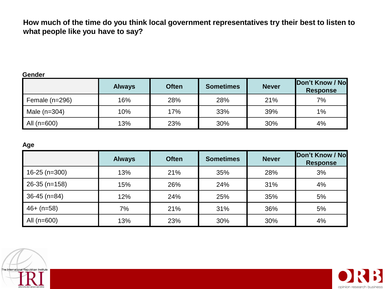**How much of the time do you think local government representatives try their best to listen to what people like you have to say?**

#### **Gender**

|                  | <b>Always</b> | <b>Often</b> | <b>Sometimes</b> | <b>Never</b> | Don't Know / No<br><b>Response</b> |
|------------------|---------------|--------------|------------------|--------------|------------------------------------|
| Female $(n=296)$ | 16%           | 28%          | 28%              | 21%          | 7%                                 |
| Male $(n=304)$   | 10%           | 17%          | 33%              | 39%          | 1%                                 |
| All $(n=600)$    | 13%           | 23%          | 30%              | 30%          | 4%                                 |

#### **Age**

| Age             |               |              |                  |              |                                    |
|-----------------|---------------|--------------|------------------|--------------|------------------------------------|
|                 | <b>Always</b> | <b>Often</b> | <b>Sometimes</b> | <b>Never</b> | Don't Know / No<br><b>Response</b> |
| $16-25$ (n=300) | 13%           | 21%          | 35%              | 28%          | 3%                                 |
| $26-35$ (n=158) | 15%           | 26%          | 24%              | 31%          | 4%                                 |
| $36-45$ (n=84)  | 12%           | 24%          | 25%              | 35%          | 5%                                 |
| $46+ (n=58)$    | 7%            | 21%          | 31%              | 36%          | 5%                                 |
| All $(n=600)$   | 13%           | 23%          | 30%              | 30%          | 4%                                 |



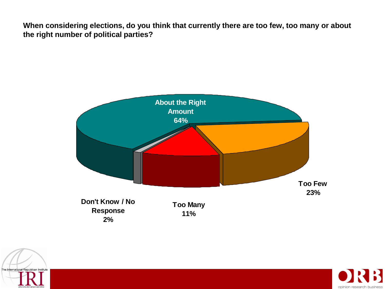**When considering elections, do you think that currently there are too few, too many or about the right number of political parties?** 





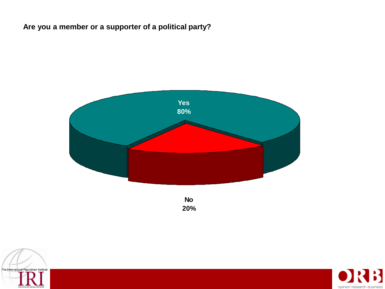### **Are you a member or a supporter of a political party?**



**No 20%**



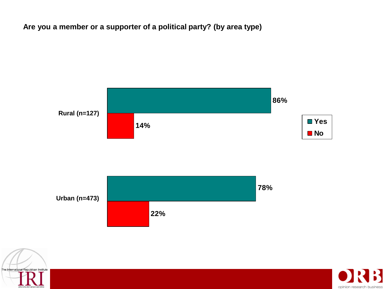### **Are you a member or a supporter of a political party? (by area type)**





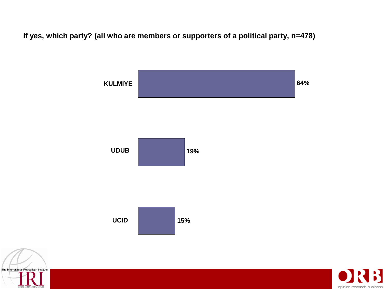**If yes, which party? (all who are members or supporters of a political party, n=478)**





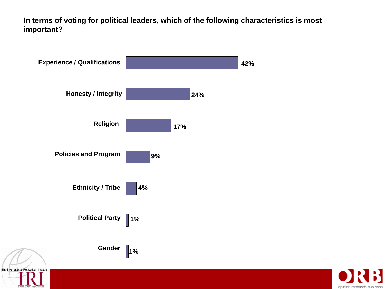**In terms of voting for political leaders, which of the following characteristics is most important?** 



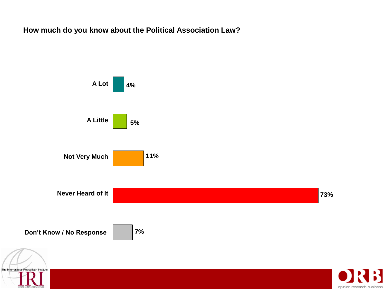**How much do you know about the Political Association Law?** 



B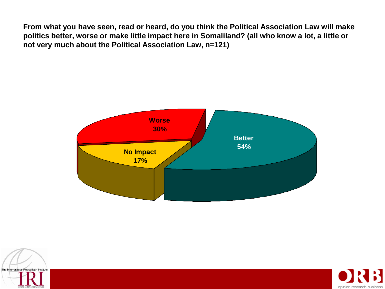**From what you have seen, read or heard, do you think the Political Association Law will make politics better, worse or make little impact here in Somaliland? (all who know a lot, a little or not very much about the Political Association Law, n=121)**





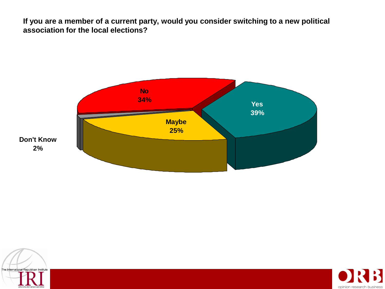**If you are a member of a current party, would you consider switching to a new political association for the local elections?** 





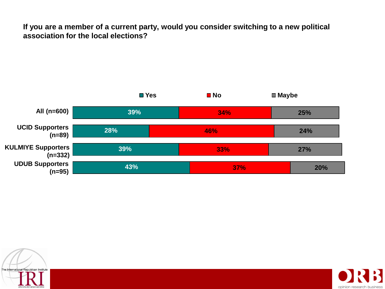**If you are a member of a current party, would you consider switching to a new political association for the local elections?** 





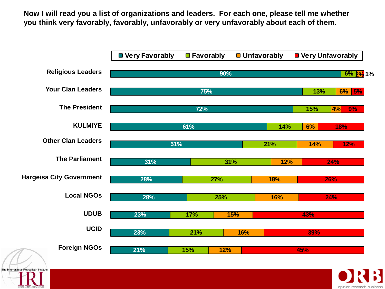**Now I will read you a list of organizations and leaders. For each one, please tell me whether you think very favorably, favorably, unfavorably or very unfavorably about each of them.**



opinion resea

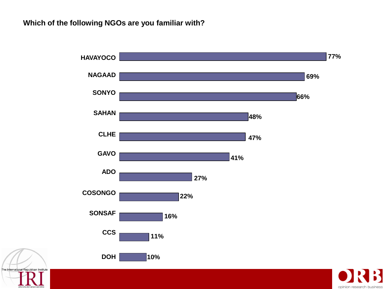#### **Which of the following NGOs are you familiar with?**



R

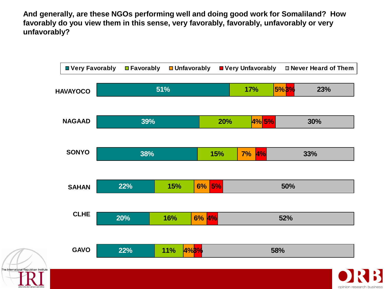**And generally, are these NGOs performing well and doing good work for Somaliland? How favorably do you view them in this sense, very favorably, favorably, unfavorably or very unfavorably?**

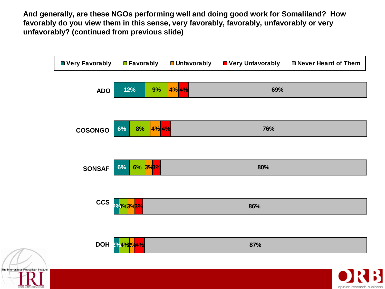**And generally, are these NGOs performing well and doing good work for Somaliland? How favorably do you view them in this sense, very favorably, favorably, unfavorably or very unfavorably? (continued from previous slide)**

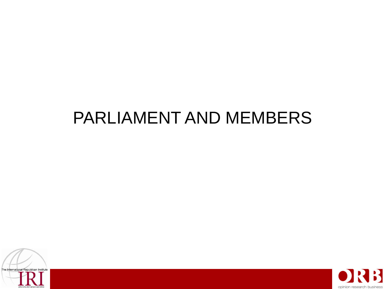## PARLIAMENT AND MEMBERS



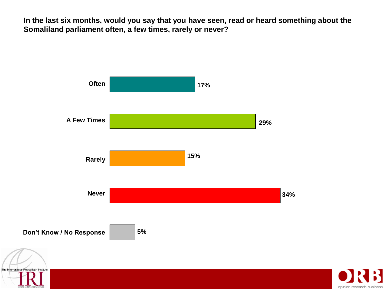**In the last six months, would you say that you have seen, read or heard something about the Somaliland parliament often, a few times, rarely or never?**



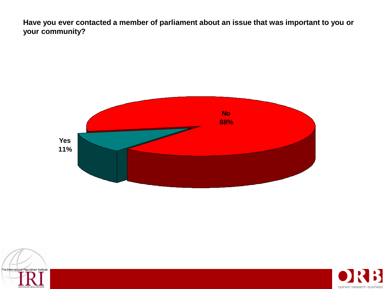**Have you ever contacted a member of parliament about an issue that was important to you or your community?**





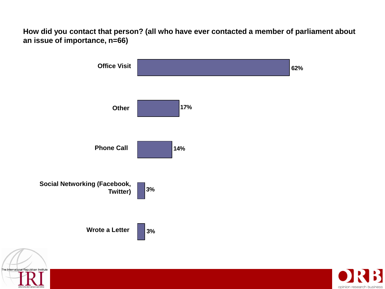**How did you contact that person? (all who have ever contacted a member of parliament about an issue of importance, n=66)**



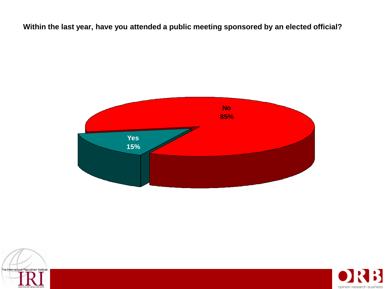**Within the last year, have you attended a public meeting sponsored by an elected official?** 





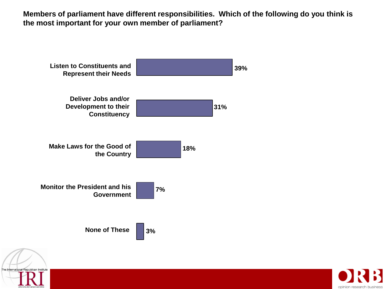**Members of parliament have different responsibilities. Which of the following do you think is the most important for your own member of parliament?** 





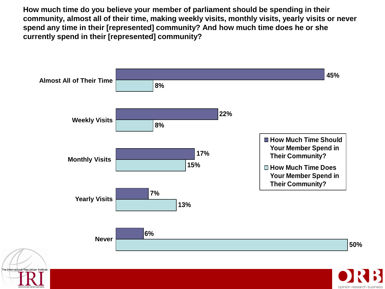**How much time do you believe your member of parliament should be spending in their community, almost all of their time, making weekly visits, monthly visits, yearly visits or never spend any time in their [represented] community? And how much time does he or she currently spend in their [represented] community?** 



opinion resea

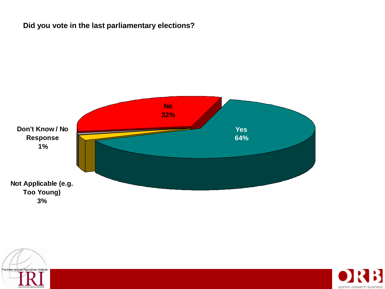### **Did you vote in the last parliamentary elections?**





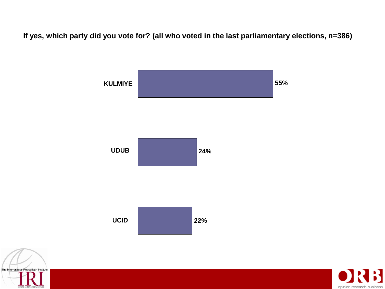**If yes, which party did you vote for? (all who voted in the last parliamentary elections, n=386)**





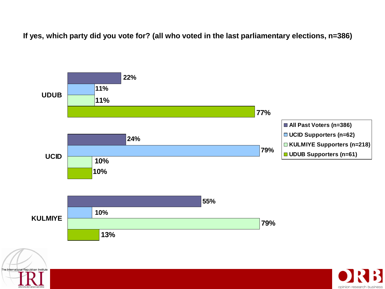**If yes, which party did you vote for? (all who voted in the last parliamentary elections, n=386)**

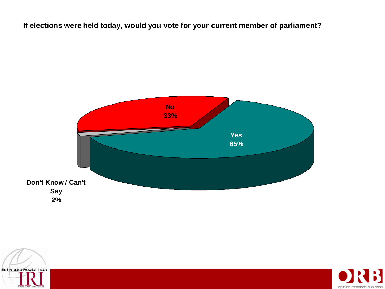**If elections were held today, would you vote for your current member of parliament?** 





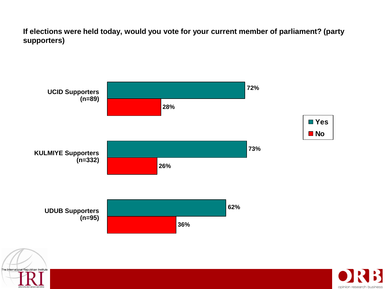**If elections were held today, would you vote for your current member of parliament? (party supporters)**



The International Republican Institute